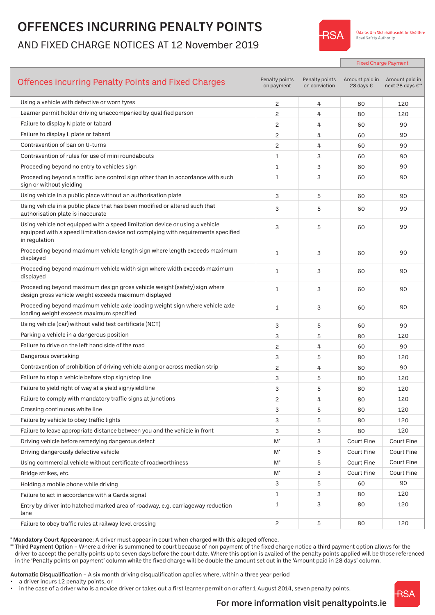## OFFENCES INCURRING PENALTY POINTS

## AND FIXED CHARGE NOTICES AT 12 November 2019



Údarás Um Shábháilteacht Ar Bhóithre Road Safety Authority

Fixed Charge Payment

| <b>Offences incurring Penalty Points and Fixed Charges</b>                                                                                                                         | Penalty points<br>on payment | Penalty points<br>on conviction | Amount paid in<br>28 days € | Amount paid in<br>next 28 days €** |
|------------------------------------------------------------------------------------------------------------------------------------------------------------------------------------|------------------------------|---------------------------------|-----------------------------|------------------------------------|
| Using a vehicle with defective or worn tyres                                                                                                                                       | 2                            | 4                               | 80                          | 120                                |
| Learner permit holder driving unaccompanied by qualified person                                                                                                                    | $\overline{c}$               | 4                               | 80                          | 120                                |
| Failure to display N plate or tabard                                                                                                                                               | 2                            | 4                               | 60                          | 90                                 |
| Failure to display L plate or tabard                                                                                                                                               | $\overline{c}$               | 4                               | 60                          | 90                                 |
| Contravention of ban on U-turns                                                                                                                                                    | 2                            | 4                               | 60                          | 90                                 |
| Contravention of rules for use of mini roundabouts                                                                                                                                 | 1                            | 3                               | 60                          | 90                                 |
| Proceeding beyond no entry to vehicles sign                                                                                                                                        | $\mathbf{1}$                 | 3                               | 60                          | 90                                 |
| Proceeding beyond a traffic lane control sign other than in accordance with such<br>sign or without yielding                                                                       | $\mathbf{1}$                 | 3                               | 60                          | 90                                 |
| Using vehicle in a public place without an authorisation plate                                                                                                                     | 3                            | 5                               | 60                          | 90                                 |
| Using vehicle in a public place that has been modified or altered such that<br>authorisation plate is inaccurate                                                                   | 3                            | 5                               | 60                          | 90                                 |
| Using vehicle not equipped with a speed limitation device or using a vehicle<br>equipped with a speed limitation device not complying with requirements specified<br>in regulation | 3                            | 5                               | 60                          | 90                                 |
| Proceeding beyond maximum vehicle length sign where length exceeds maximum<br>displayed                                                                                            | 1                            | 3                               | 60                          | 90                                 |
| Proceeding beyond maximum vehicle width sign where width exceeds maximum<br>displayed                                                                                              | 1                            | 3                               | 60                          | 90                                 |
| Proceeding beyond maximum design gross vehicle weight (safety) sign where<br>design gross vehicle weight exceeds maximum displayed                                                 | $\mathbf{1}$                 | 3                               | 60                          | 90                                 |
| Proceeding beyond maximum vehicle axle loading weight sign where vehicle axle<br>loading weight exceeds maximum specified                                                          | 1                            | 3                               | 60                          | 90                                 |
| Using vehicle (car) without valid test certificate (NCT)                                                                                                                           | 3                            | 5                               | 60                          | 90                                 |
| Parking a vehicle in a dangerous position                                                                                                                                          | 3                            | 5                               | 80                          | 120                                |
| Failure to drive on the left hand side of the road                                                                                                                                 | $\overline{c}$               | 4                               | 60                          | 90                                 |
| Dangerous overtaking                                                                                                                                                               | 3                            | 5                               | 80                          | 120                                |
| Contravention of prohibition of driving vehicle along or across median strip                                                                                                       | $\overline{c}$               | 4                               | 60                          | 90                                 |
| Failure to stop a vehicle before stop sign/stop line                                                                                                                               | 3                            | 5                               | 80                          | 120                                |
| Failure to yield right of way at a yield sign/yield line                                                                                                                           | 3                            | 5                               | 80                          | 120                                |
| Failure to comply with mandatory traffic signs at junctions                                                                                                                        | 2                            | 4                               | 80                          | 120                                |
| Crossing continuous white line                                                                                                                                                     | 3                            | 5                               | 80                          | 120                                |
| Failure by vehicle to obey traffic lights                                                                                                                                          | 3                            | 5                               | 80                          | 120                                |
| Failure to leave appropriate distance between you and the vehicle in front                                                                                                         | 3                            | 5                               | 80                          | 120                                |
| Driving vehicle before remedying dangerous defect                                                                                                                                  | M*                           | 3                               | Court Fine                  | Court Fine                         |
| Driving dangerously defective vehicle                                                                                                                                              | M*                           | 5                               | Court Fine                  | Court Fine                         |
| Using commercial vehicle without certificate of roadworthiness                                                                                                                     | M*                           | 5                               | Court Fine                  | Court Fine                         |
| Bridge strikes, etc.                                                                                                                                                               | M*                           | 3                               | Court Fine                  | Court Fine                         |
| Holding a mobile phone while driving                                                                                                                                               | 3                            | 5                               | 60                          | 90                                 |
| Failure to act in accordance with a Garda signal                                                                                                                                   | $\mathbf{1}$                 | 3                               | 80                          | 120                                |
| Entry by driver into hatched marked area of roadway, e.g. carriageway reduction<br>lane                                                                                            | $\mathbf{1}$                 | 3                               | 80                          | 120                                |
| Failure to obey traffic rules at railway level crossing                                                                                                                            | $\overline{c}$               | 5                               | 80                          | 120                                |

\* Mandatory Court Appearance: A driver must appear in court when charged with this alleged offence.

\*\* Third Payment Option – Where a driver is summoned to court because of non payment of the fixed charge notice a third payment option allows for the driver to accept the penalty points up to seven days before the court date. Where this option is availed of the penalty points applied will be those referenced in the 'Penalty points on payment' column while the fixed charge will be double the amount set out in the 'Amount paid in 28 days' column.

Automatic Disqualification – A six month driving disqualification applies where, within a three year period

• a driver incurs 12 penalty points, or

• in the case of a driver who is a novice driver or takes out a first learner permit on or after 1 August 2014, seven penalty points.